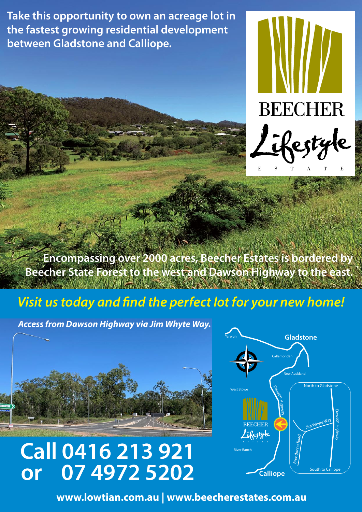**Take this opportunity to own an acreage lot in the fastest growing residential development between Gladstone and Calliope.**



**Encompassing over 2000 acres, Beecher Estates is bordered by Beecher State Forest to the west and Dawson Highway to the east. AND A REAL PROPERTY** 

## *Visit us today and find the perfect lot for your new home!*

*Access from Dawson Highway via Jim Whyte Way.* 



**Call 0416 213 921 or 07 4972 5202**



**www.lowtian.com.au | www.beecherestates.com.au**